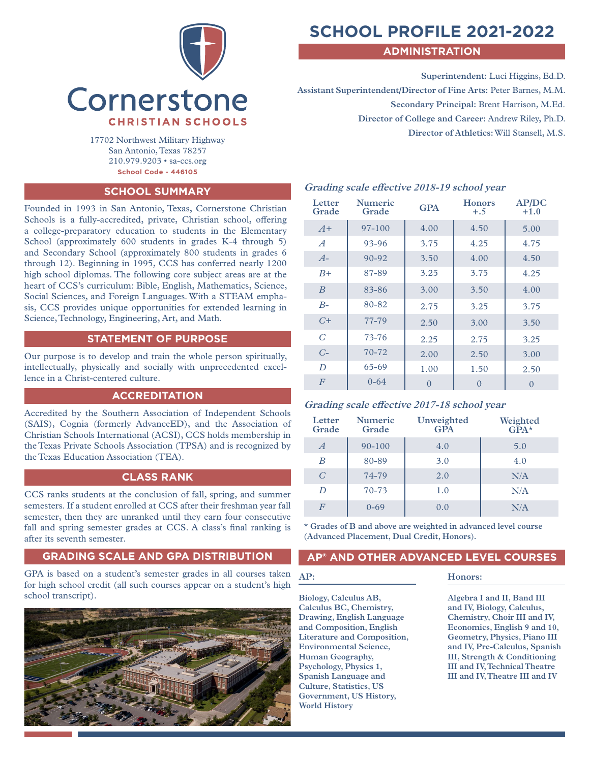

17702 Northwest Military Highway San Antonio, Texas 78257 210.979.9203 • sa-ccs.org **School Code - 446105**

## **SCHOOL SUMMARY**

Founded in 1993 in San Antonio, Texas, Cornerstone Christian Schools is a fully-accredited, private, Christian school, offering a college-preparatory education to students in the Elementary School (approximately 600 students in grades K-4 through 5) and Secondary School (approximately 800 students in grades 6 through 12). Beginning in 1995, CCS has conferred nearly 1200 high school diplomas. The following core subject areas are at the heart of CCS's curriculum: Bible, English, Mathematics, Science, Social Sciences, and Foreign Languages. With a STEAM emphasis, CCS provides unique opportunities for extended learning in Science, Technology, Engineering, Art, and Math.

## **STATEMENT OF PURPOSE**

Our purpose is to develop and train the whole person spiritually, intellectually, physically and socially with unprecedented excellence in a Christ-centered culture.

## **ACCREDITATION**

Accredited by the Southern Association of Independent Schools (SAIS), Cognia (formerly AdvanceED), and the Association of Christian Schools International (ACSI), CCS holds membership in the Texas Private Schools Association (TPSA) and is recognized by the Texas Education Association (TEA).

#### **CLASS RANK**

CCS ranks students at the conclusion of fall, spring, and summer semesters. If a student enrolled at CCS after their freshman year fall semester, then they are unranked until they earn four consecutive fall and spring semester grades at CCS. A class's final ranking is after its seventh semester.

## **GRADING SCALE AND GPA DISTRIBUTION**

GPA is based on a student's semester grades in all courses taken for high school credit (all such courses appear on a student's high school transcript).



# **SCHOOL PROFILE 2021-2022**

**ADMINISTRATION**

**Superintendent:** Luci Higgins, Ed.D.

**Assistant Superintendent/Director of Fine Arts:** Peter Barnes, M.M. **Secondary Principal:** Brent Harrison, M.Ed. **Director of College and Career:** Andrew Riley, Ph.D. **Director of Athletics:** Will Stansell, M.S.

#### **Grading scale effective 2018-19 school year**

| Letter<br>Grade  | <b>Numeric</b><br>Grade | <b>GPA</b> | <b>Honors</b><br>$+.5$ | <b>AP/DC</b><br>$+1.0$ |
|------------------|-------------------------|------------|------------------------|------------------------|
| $A+$             | 97-100                  | 4.00       | 4.50                   | 5.00                   |
| $\overline{A}$   | 93-96                   | 3.75       | 4.25                   | 4.75                   |
| $A-$             | $90 - 92$               | 3.50       | 4.00                   | 4.50                   |
| $B+$             | 87-89                   | 3.25       | 3.75                   | 4.25                   |
| $\boldsymbol{B}$ | 83-86                   | 3.00       | 3.50                   | 4.00                   |
| $B-$             | 80-82                   | 2.75       | 3.25                   | 3.75                   |
| $C+$             | 77-79                   | 2.50       | 3.00                   | 3.50                   |
| G                | $73 - 76$               | 2.25       | 2.75                   | 3.25                   |
| $C-$             | $70 - 72$               | 2.00       | 2.50                   | 3.00                   |
| D                | 65-69                   | 1.00       | 1.50                   | 2.50                   |
| $\overline{F}$   | $0 - 64$                | $\Omega$   | $\Omega$               | $\Omega$               |

## **Grading scale effective 2017-18 school year**

| Letter<br>Grade | <b>Numeric</b><br>Grade | Unweighted<br><b>GPA</b> | Weighted<br>$GPA*$ |
|-----------------|-------------------------|--------------------------|--------------------|
| $\overline{A}$  | $90 - 100$              | 4.0                      | 5.0                |
| B               | 80-89                   | 3.0                      | 4.0                |
| C               | 74-79                   | 2.0                      | N/A                |
| D               | $70 - 73$               | 1.0                      | N/A                |
| F               | $0 - 69$                | 0.0                      | N/A                |

**\* Grades of B and above are weighted in advanced level course (Advanced Placement, Dual Credit, Honors).**

#### **AP® AND OTHER ADVANCED LEVEL COURSES**

#### **AP:**

**Biology, Calculus AB, Calculus BC, Chemistry, Drawing, English Language and Composition, English Literature and Composition, Environmental Science, Human Geography, Psychology, Physics 1, Spanish Language and Culture, Statistics, US Government, US History, World History**

#### **Honors:**

**Algebra I and II, Band III and IV, Biology, Calculus, Chemistry, Choir III and IV, Economics, English 9 and 10, Geometry, Physics, Piano III and IV, Pre-Calculus, Spanish III, Strength & Conditioning III and IV, Technical Theatre III and IV, Theatre III and IV**